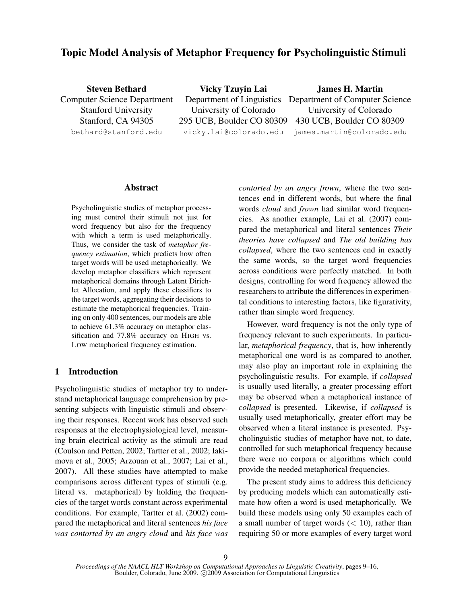# Topic Model Analysis of Metaphor Frequency for Psycholinguistic Stimuli

| <b>Steven Bethard</b>              | <b>Vicky Tzuyin Lai</b> | <b>James H. Martin</b>                                   |
|------------------------------------|-------------------------|----------------------------------------------------------|
| <b>Computer Science Department</b> |                         | Department of Linguistics Department of Computer Science |
| <b>Stanford University</b>         | University of Colorado  | University of Colorado                                   |
| Stanford, CA 94305                 |                         | 295 UCB, Boulder CO 80309 430 UCB, Boulder CO 80309      |
| bethard@stanford.edu               |                         | vicky.lai@colorado.edu james.martin@colorado.edu         |

### Abstract

Psycholinguistic studies of metaphor processing must control their stimuli not just for word frequency but also for the frequency with which a term is used metaphorically. Thus, we consider the task of *metaphor frequency estimation*, which predicts how often target words will be used metaphorically. We develop metaphor classifiers which represent metaphorical domains through Latent Dirichlet Allocation, and apply these classifiers to the target words, aggregating their decisions to estimate the metaphorical frequencies. Training on only 400 sentences, our models are able to achieve 61.3% accuracy on metaphor classification and 77.8% accuracy on HIGH vs. LOW metaphorical frequency estimation.

# 1 Introduction

Psycholinguistic studies of metaphor try to understand metaphorical language comprehension by presenting subjects with linguistic stimuli and observing their responses. Recent work has observed such responses at the electrophysiological level, measuring brain electrical activity as the stimuli are read (Coulson and Petten, 2002; Tartter et al., 2002; Iakimova et al., 2005; Arzouan et al., 2007; Lai et al., 2007). All these studies have attempted to make comparisons across different types of stimuli (e.g. literal vs. metaphorical) by holding the frequencies of the target words constant across experimental conditions. For example, Tartter et al. (2002) compared the metaphorical and literal sentences *his face was contorted by an angry cloud* and *his face was* *contorted by an angry frown*, where the two sentences end in different words, but where the final words *cloud* and *frown* had similar word frequencies. As another example, Lai et al. (2007) compared the metaphorical and literal sentences *Their theories have collapsed* and *The old building has collapsed*, where the two sentences end in exactly the same words, so the target word frequencies across conditions were perfectly matched. In both designs, controlling for word frequency allowed the researchers to attribute the differences in experimental conditions to interesting factors, like figurativity, rather than simple word frequency.

However, word frequency is not the only type of frequency relevant to such experiments. In particular, *metaphorical frequency*, that is, how inherently metaphorical one word is as compared to another, may also play an important role in explaining the psycholinguistic results. For example, if *collapsed* is usually used literally, a greater processing effort may be observed when a metaphorical instance of *collapsed* is presented. Likewise, if *collapsed* is usually used metaphorically, greater effort may be observed when a literal instance is presented. Psycholinguistic studies of metaphor have not, to date, controlled for such metaphorical frequency because there were no corpora or algorithms which could provide the needed metaphorical frequencies.

The present study aims to address this deficiency by producing models which can automatically estimate how often a word is used metaphorically. We build these models using only 50 examples each of a small number of target words  $(< 10$ ), rather than requiring 50 or more examples of every target word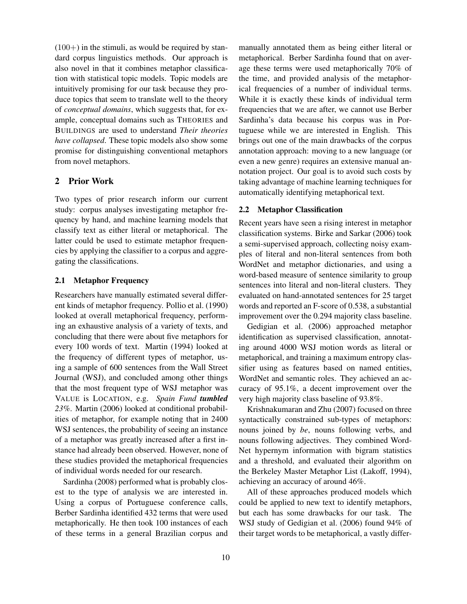$(100+)$  in the stimuli, as would be required by standard corpus linguistics methods. Our approach is also novel in that it combines metaphor classification with statistical topic models. Topic models are intuitively promising for our task because they produce topics that seem to translate well to the theory of *conceptual domains*, which suggests that, for example, conceptual domains such as THEORIES and BUILDINGS are used to understand *Their theories have collapsed*. These topic models also show some promise for distinguishing conventional metaphors from novel metaphors.

# 2 Prior Work

Two types of prior research inform our current study: corpus analyses investigating metaphor frequency by hand, and machine learning models that classify text as either literal or metaphorical. The latter could be used to estimate metaphor frequencies by applying the classifier to a corpus and aggregating the classifications.

# 2.1 Metaphor Frequency

Researchers have manually estimated several different kinds of metaphor frequency. Pollio et al. (1990) looked at overall metaphorical frequency, performing an exhaustive analysis of a variety of texts, and concluding that there were about five metaphors for every 100 words of text. Martin (1994) looked at the frequency of different types of metaphor, using a sample of 600 sentences from the Wall Street Journal (WSJ), and concluded among other things that the most frequent type of WSJ metaphor was VALUE is LOCATION, e.g. *Spain Fund tumbled 23%*. Martin (2006) looked at conditional probabilities of metaphor, for example noting that in 2400 WSJ sentences, the probability of seeing an instance of a metaphor was greatly increased after a first instance had already been observed. However, none of these studies provided the metaphorical frequencies of individual words needed for our research.

Sardinha (2008) performed what is probably closest to the type of analysis we are interested in. Using a corpus of Portuguese conference calls, Berber Sardinha identified 432 terms that were used metaphorically. He then took 100 instances of each of these terms in a general Brazilian corpus and manually annotated them as being either literal or metaphorical. Berber Sardinha found that on average these terms were used metaphorically 70% of the time, and provided analysis of the metaphorical frequencies of a number of individual terms. While it is exactly these kinds of individual term frequencies that we are after, we cannot use Berber Sardinha's data because his corpus was in Portuguese while we are interested in English. This brings out one of the main drawbacks of the corpus annotation approach: moving to a new language (or even a new genre) requires an extensive manual annotation project. Our goal is to avoid such costs by taking advantage of machine learning techniques for automatically identifying metaphorical text.

#### 2.2 Metaphor Classification

Recent years have seen a rising interest in metaphor classification systems. Birke and Sarkar (2006) took a semi-supervised approach, collecting noisy examples of literal and non-literal sentences from both WordNet and metaphor dictionaries, and using a word-based measure of sentence similarity to group sentences into literal and non-literal clusters. They evaluated on hand-annotated sentences for 25 target words and reported an F-score of 0.538, a substantial improvement over the 0.294 majority class baseline.

Gedigian et al. (2006) approached metaphor identification as supervised classification, annotating around 4000 WSJ motion words as literal or metaphorical, and training a maximum entropy classifier using as features based on named entities, WordNet and semantic roles. They achieved an accuracy of 95.1%, a decent improvement over the very high majority class baseline of 93.8%.

Krishnakumaran and Zhu (2007) focused on three syntactically constrained sub-types of metaphors: nouns joined by *be*, nouns following verbs, and nouns following adjectives. They combined Word-Net hypernym information with bigram statistics and a threshold, and evaluated their algorithm on the Berkeley Master Metaphor List (Lakoff, 1994), achieving an accuracy of around 46%.

All of these approaches produced models which could be applied to new text to identify metaphors, but each has some drawbacks for our task. The WSJ study of Gedigian et al. (2006) found 94% of their target words to be metaphorical, a vastly differ-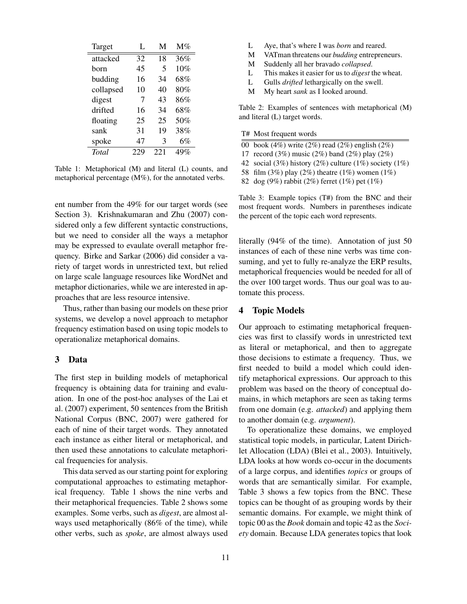| Target    | L   | М    | $M\%$ |
|-----------|-----|------|-------|
| attacked  | 32  | 18   | 36%   |
| horn      | 45  | 5    | 10%   |
| budding   | 16  | 34   | 68%   |
| collapsed | 10  | 40   | 80%   |
| digest    | 7   | 43   | 86%   |
| drifted   | 16  | 34   | 68%   |
| floating  | 25  | 25   | 50%   |
| sank      | 31  | 19   | 38%   |
| spoke     | 47  | 3    | 6%    |
| Total     | 229 | 22.1 | 49%   |

Table 1: Metaphorical (M) and literal (L) counts, and metaphorical percentage (M%), for the annotated verbs.

ent number from the 49% for our target words (see Section 3). Krishnakumaran and Zhu (2007) considered only a few different syntactic constructions, but we need to consider all the ways a metaphor may be expressed to evaulate overall metaphor frequency. Birke and Sarkar (2006) did consider a variety of target words in unrestricted text, but relied on large scale language resources like WordNet and metaphor dictionaries, while we are interested in approaches that are less resource intensive.

Thus, rather than basing our models on these prior systems, we develop a novel approach to metaphor frequency estimation based on using topic models to operationalize metaphorical domains.

#### 3 Data

The first step in building models of metaphorical frequency is obtaining data for training and evaluation. In one of the post-hoc analyses of the Lai et al. (2007) experiment, 50 sentences from the British National Corpus (BNC, 2007) were gathered for each of nine of their target words. They annotated each instance as either literal or metaphorical, and then used these annotations to calculate metaphorical frequencies for analysis.

This data served as our starting point for exploring computational approaches to estimating metaphorical frequency. Table 1 shows the nine verbs and their metaphorical frequencies. Table 2 shows some examples. Some verbs, such as *digest*, are almost always used metaphorically (86% of the time), while other verbs, such as *spoke*, are almost always used

- L Aye, that's where I was *born* and reared.
- M VATman threatens our *budding* entrepreneurs.
- M Suddenly all her bravado *collapsed*.
- L This makes it easier for us to *digest* the wheat.
- L Gulls *drifted* lethargically on the swell.
- M My heart *sank* as I looked around.

Table 2: Examples of sentences with metaphorical (M) and literal (L) target words.

- T# Most frequent words
- 00 book (4%) write (2%) read (2%) english (2%)
- 17 record (3%) music (2%) band (2%) play (2%)
- 42 social (3%) history (2%) culture (1%) society (1%)
- 58 film (3%) play (2%) theatre (1%) women (1%)
- 82 dog (9%) rabbit (2%) ferret (1%) pet (1%)

Table 3: Example topics (T#) from the BNC and their most frequent words. Numbers in parentheses indicate the percent of the topic each word represents.

literally (94% of the time). Annotation of just 50 instances of each of these nine verbs was time consuming, and yet to fully re-analyze the ERP results, metaphorical frequencies would be needed for all of the over 100 target words. Thus our goal was to automate this process.

# 4 Topic Models

Our approach to estimating metaphorical frequencies was first to classify words in unrestricted text as literal or metaphorical, and then to aggregate those decisions to estimate a frequency. Thus, we first needed to build a model which could identify metaphorical expressions. Our approach to this problem was based on the theory of conceptual domains, in which metaphors are seen as taking terms from one domain (e.g. *attacked*) and applying them to another domain (e.g. *argument*).

To operationalize these domains, we employed statistical topic models, in particular, Latent Dirichlet Allocation (LDA) (Blei et al., 2003). Intuitively, LDA looks at how words co-occur in the documents of a large corpus, and identifies *topics* or groups of words that are semantically similar. For example, Table 3 shows a few topics from the BNC. These topics can be thought of as grouping words by their semantic domains. For example, we might think of topic 00 as the *Book* domain and topic 42 as the *Society* domain. Because LDA generates topics that look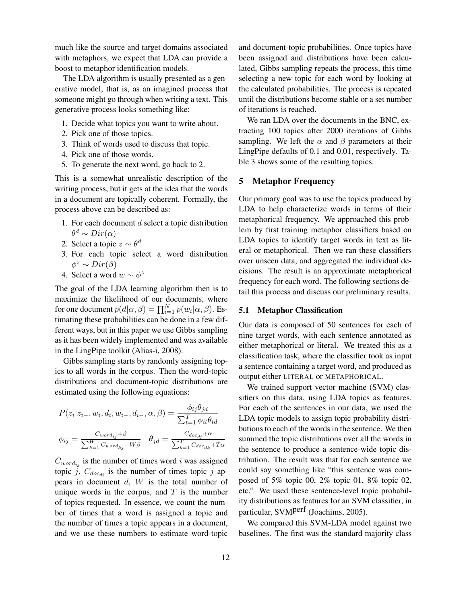much like the source and target domains associated with metaphors, we expect that LDA can provide a boost to metaphor identification models.

The LDA algorithm is usually presented as a generative model, that is, as an imagined process that someone might go through when writing a text. This generative process looks something like:

- 1. Decide what topics you want to write about.
- 2. Pick one of those topics.
- 3. Think of words used to discuss that topic.
- 4. Pick one of those words.
- 5. To generate the next word, go back to 2.

This is a somewhat unrealistic description of the writing process, but it gets at the idea that the words in a document are topically coherent. Formally, the process above can be described as:

- 1. For each document  $d$  select a topic distribution  $\theta^d \sim Dir(\alpha)$
- 2. Select a topic  $z \sim \theta^d$
- 3. For each topic select a word distribution  $\phi^z \sim Dir(\beta)$
- 4. Select a word  $w \sim \phi^z$

The goal of the LDA learning algorithm then is to maximize the likelihood of our documents, where for one document  $p(d|\alpha, \beta) = \prod_{i=1}^{N} p(w_i|\alpha, \beta)$ . Estimating these probabilities can be done in a few different ways, but in this paper we use Gibbs sampling as it has been widely implemented and was available in the LingPipe toolkit (Alias-i, 2008).

Gibbs sampling starts by randomly assigning topics to all words in the corpus. Then the word-topic distributions and document-topic distributions are estimated using the following equations:

$$
P(z_i|z_{i-}, w_i, d_i, w_{i-}, d_{i-}, \alpha, \beta) = \frac{\phi_{ij}\theta_{jd}}{\sum_{t=1}^T \phi_{it}\theta_{td}}
$$

$$
\phi_{ij} = \frac{C_{word_{ij}} + \beta}{\sum_{k=1}^W C_{word_{kj}} + W\beta} \quad \theta_{jd} = \frac{C_{doc_{dj}} + \alpha}{\sum_{k=1}^T C_{doc_{dk}} + T\alpha}
$$

 $C_{word_{ij}}$  is the number of times word i was assigned topic j,  $C_{doc_{di}}$  is the number of times topic j appears in document  $d$ ,  $W$  is the total number of unique words in the corpus, and  $T$  is the number of topics requested. In essence, we count the number of times that a word is assigned a topic and the number of times a topic appears in a document, and we use these numbers to estimate word-topic and document-topic probabilities. Once topics have been assigned and distributions have been calculated, Gibbs sampling repeats the process, this time selecting a new topic for each word by looking at the calculated probabilities. The process is repeated until the distributions become stable or a set number of iterations is reached.

We ran LDA over the documents in the BNC, extracting 100 topics after 2000 iterations of Gibbs sampling. We left the  $\alpha$  and  $\beta$  parameters at their LingPipe defaults of 0.1 and 0.01, respectively. Table 3 shows some of the resulting topics.

## 5 Metaphor Frequency

Our primary goal was to use the topics produced by LDA to help characterize words in terms of their metaphorical frequency. We approached this problem by first training metaphor classifiers based on LDA topics to identify target words in text as literal or metaphorical. Then we ran these classifiers over unseen data, and aggregated the individual decisions. The result is an approximate metaphorical frequency for each word. The following sections detail this process and discuss our preliminary results.

#### 5.1 Metaphor Classification

Our data is composed of 50 sentences for each of nine target words, with each sentence annotated as either metaphorical or literal. We treated this as a classification task, where the classifier took as input a sentence containing a target word, and produced as output either LITERAL or METAPHORICAL.

We trained support vector machine (SVM) classifiers on this data, using LDA topics as features. For each of the sentences in our data, we used the LDA topic models to assign topic probability distributions to each of the words in the sentence. We then summed the topic distributions over all the words in the sentence to produce a sentence-wide topic distribution. The result was that for each sentence we could say something like "this sentence was composed of 5% topic 00, 2% topic 01, 8% topic 02, etc." We used these sentence-level topic probability distributions as features for an SVM classifier, in particular, SVM<sup>perf</sup> (Joachims, 2005).

We compared this SVM-LDA model against two baselines. The first was the standard majority class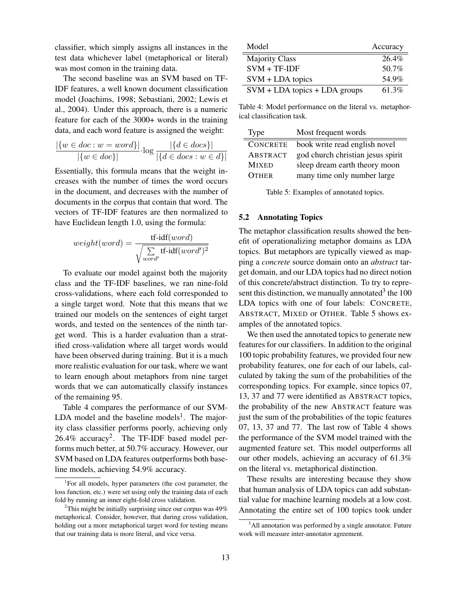classifier, which simply assigns all instances in the test data whichever label (metaphorical or literal) was most comon in the training data.

The second baseline was an SVM based on TF-IDF features, a well known document classification model (Joachims, 1998; Sebastiani, 2002; Lewis et al., 2004). Under this approach, there is a numeric feature for each of the 3000+ words in the training data, and each word feature is assigned the weight:

$$
\frac{|\{w \in doc : w = word\}|}{|\{w \in doc\}|} \cdot \log \frac{|\{d \in docs\}|}{|\{d \in docs : w \in d\}|}
$$

Essentially, this formula means that the weight increases with the number of times the word occurs in the document, and decreases with the number of documents in the corpus that contain that word. The vectors of TF-IDF features are then normalized to have Euclidean length 1.0, using the formula:

$$
weight(word) = \frac{\text{tf-idf}(word)}{\sqrt{\sum_{word'} \text{tf-idf}(word')^2}}
$$

To evaluate our model against both the majority class and the TF-IDF baselines, we ran nine-fold cross-validations, where each fold corresponded to a single target word. Note that this means that we trained our models on the sentences of eight target words, and tested on the sentences of the ninth target word. This is a harder evaluation than a stratified cross-validation where all target words would have been observed during training. But it is a much more realistic evaluation for our task, where we want to learn enough about metaphors from nine target words that we can automatically classify instances of the remaining 95.

Table 4 compares the performance of our SVM-LDA model and the baseline models<sup>1</sup>. The majority class classifier performs poorly, achieving only  $26.4\%$  accuracy<sup>2</sup>. The TF-IDF based model performs much better, at 50.7% accuracy. However, our SVM based on LDA features outperforms both baseline models, achieving 54.9% accuracy.

| Model                           | Accuracy |
|---------------------------------|----------|
| <b>Majority Class</b>           | 26.4%    |
| $SVM + TF-IDF$                  | 50.7%    |
| $SVM + LDA$ topics              | 54.9%    |
| $SVM + LDA$ topics + LDA groups | 61.3%    |

Table 4: Model performance on the literal vs. metaphorical classification task.

| <b>Type</b>     | Most frequent words               |
|-----------------|-----------------------------------|
| <b>CONCRETE</b> | book write read english novel     |
| ABSTRACT        | god church christian jesus spirit |
| <b>MIXED</b>    | sleep dream earth theory moon     |
| <b>OTHER</b>    | many time only number large       |
|                 |                                   |

Table 5: Examples of annotated topics.

# 5.2 Annotating Topics

The metaphor classification results showed the benefit of operationalizing metaphor domains as LDA topics. But metaphors are typically viewed as mapping a *concrete* source domain onto an *abstract* target domain, and our LDA topics had no direct notion of this concrete/abstract distinction. To try to represent this distinction, we manually annotated  $3$  the 100 LDA topics with one of four labels: CONCRETE, ABSTRACT, MIXED or OTHER. Table 5 shows examples of the annotated topics.

We then used the annotated topics to generate new features for our classifiers. In addition to the original 100 topic probability features, we provided four new probability features, one for each of our labels, calculated by taking the sum of the probabilities of the corresponding topics. For example, since topics 07, 13, 37 and 77 were identified as ABSTRACT topics, the probability of the new ABSTRACT feature was just the sum of the probabilities of the topic features 07, 13, 37 and 77. The last row of Table 4 shows the performance of the SVM model trained with the augmented feature set. This model outperforms all our other models, achieving an accuracy of 61.3% on the literal vs. metaphorical distinction.

These results are interesting because they show that human analysis of LDA topics can add substantial value for machine learning models at a low cost. Annotating the entire set of 100 topics took under

<sup>&</sup>lt;sup>1</sup>For all models, hyper parameters (the cost parameter, the loss function, etc.) were set using only the training data of each fold by running an inner eight-fold cross validation.

<sup>&</sup>lt;sup>2</sup>This might be initially surprising since our corpus was  $49\%$ metaphorical. Consider, however, that during cross validation, holding out a more metaphorical target word for testing means that our training data is more literal, and vice versa.

<sup>&</sup>lt;sup>3</sup>All annotation was performed by a single annotator. Future work will measure inter-annotator agreement.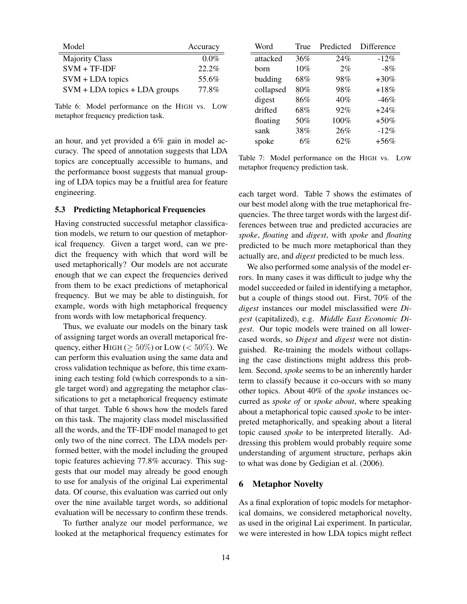| Model                           | Accuracy |
|---------------------------------|----------|
| <b>Majority Class</b>           | $0.0\%$  |
| $SVM + TF-IDF$                  | 22.2%    |
| $SVM + LDA$ topics              | 55.6%    |
| $SVM + LDA$ topics + LDA groups | 77.8%    |

Table 6: Model performance on the HIGH vs. LOW metaphor frequency prediction task.

an hour, and yet provided a 6% gain in model accuracy. The speed of annotation suggests that LDA topics are conceptually accessible to humans, and the performance boost suggests that manual grouping of LDA topics may be a fruitful area for feature engineering.

### 5.3 Predicting Metaphorical Frequencies

Having constructed successful metaphor classification models, we return to our question of metaphorical frequency. Given a target word, can we predict the frequency with which that word will be used metaphorically? Our models are not accurate enough that we can expect the frequencies derived from them to be exact predictions of metaphorical frequency. But we may be able to distinguish, for example, words with high metaphorical frequency from words with low metaphorical frequency.

Thus, we evaluate our models on the binary task of assigning target words an overall metaporical frequency, either HIGH ( $\geq 50\%$ ) or LOW ( $< 50\%$ ). We can perform this evaluation using the same data and cross validation technique as before, this time examining each testing fold (which corresponds to a single target word) and aggregating the metaphor classifications to get a metaphorical frequency estimate of that target. Table 6 shows how the models fared on this task. The majority class model misclassified all the words, and the TF-IDF model managed to get only two of the nine correct. The LDA models performed better, with the model including the grouped topic features achieving 77.8% accuracy. This suggests that our model may already be good enough to use for analysis of the original Lai experimental data. Of course, this evaluation was carried out only over the nine available target words, so additional evaluation will be necessary to confirm these trends.

To further analyze our model performance, we looked at the metaphorical frequency estimates for

| Word      | True | Predicted | Difference |
|-----------|------|-----------|------------|
| attacked  | 36%  | 24%       | $-12\%$    |
| horn      | 10%  | 2%        | $-8\%$     |
| budding   | 68%  | 98%       | $+30%$     |
| collapsed | 80%  | 98%       | $+18%$     |
| digest    | 86%  | 40%       | $-46\%$    |
| drifted   | 68%  | 92%       | $+24\%$    |
| floating  | 50%  | 100%      | $+50%$     |
| sank      | 38%  | 26%       | $-12%$     |
| spoke     | 6%   | 62%       | $+56\%$    |

Table 7: Model performance on the HIGH vs. LOW metaphor frequency prediction task.

each target word. Table 7 shows the estimates of our best model along with the true metaphorical frequencies. The three target words with the largest differences between true and predicted accuracies are *spoke*, *floating* and *digest*, with *spoke* and *floating* predicted to be much more metaphorical than they actually are, and *digest* predicted to be much less.

We also performed some analysis of the model errors. In many cases it was difficult to judge why the model succeeded or failed in identifying a metaphor, but a couple of things stood out. First, 70% of the *digest* instances our model misclassified were *Digest* (capitalized), e.g. *Middle East Economic Digest*. Our topic models were trained on all lowercased words, so *Digest* and *digest* were not distinguished. Re-training the models without collapsing the case distinctions might address this problem. Second, *spoke* seems to be an inherently harder term to classify because it co-occurs with so many other topics. About 40% of the *spoke* instances occurred as *spoke of* or *spoke about*, where speaking about a metaphorical topic caused *spoke* to be interpreted metaphorically, and speaking about a literal topic caused *spoke* to be interpreted literally. Addressing this problem would probably require some understanding of argument structure, perhaps akin to what was done by Gedigian et al. (2006).

#### 6 Metaphor Novelty

As a final exploration of topic models for metaphorical domains, we considered metaphorical novelty, as used in the original Lai experiment. In particular, we were interested in how LDA topics might reflect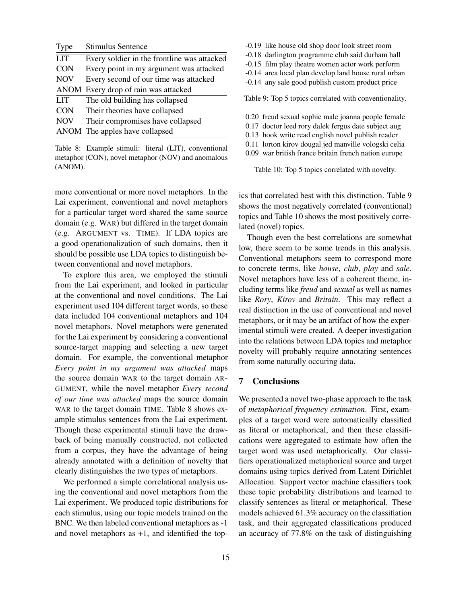| Type       | <b>Stimulus Sentence</b>                    |
|------------|---------------------------------------------|
| <b>LIT</b> | Every soldier in the frontline was attacked |
| <b>CON</b> | Every point in my argument was attacked     |
| <b>NOV</b> | Every second of our time was attacked       |
|            | ANOM Every drop of rain was attacked        |
| <b>LIT</b> | The old building has collapsed              |
| <b>CON</b> | Their theories have collapsed               |
| <b>NOV</b> | Their compromises have collapsed            |
|            | ANOM The apples have collapsed              |

Table 8: Example stimuli: literal (LIT), conventional metaphor (CON), novel metaphor (NOV) and anomalous (ANOM).

more conventional or more novel metaphors. In the Lai experiment, conventional and novel metaphors for a particular target word shared the same source domain (e.g. WAR) but differed in the target domain (e.g. ARGUMENT vs. TIME). If LDA topics are a good operationalization of such domains, then it should be possible use LDA topics to distinguish between conventional and novel metaphors.

To explore this area, we employed the stimuli from the Lai experiment, and looked in particular at the conventional and novel conditions. The Lai experiment used 104 different target words, so these data included 104 conventional metaphors and 104 novel metaphors. Novel metaphors were generated for the Lai experiment by considering a conventional source-target mapping and selecting a new target domain. For example, the conventional metaphor *Every point in my argument was attacked* maps the source domain WAR to the target domain AR-GUMENT, while the novel metaphor *Every second of our time was attacked* maps the source domain WAR to the target domain TIME. Table 8 shows example stimulus sentences from the Lai experiment. Though these experimental stimuli have the drawback of being manually constructed, not collected from a corpus, they have the advantage of being already annotated with a definition of novelty that clearly distinguishes the two types of metaphors.

We performed a simple correlational analysis using the conventional and novel metaphors from the Lai experiment. We produced topic distributions for each stimulus, using our topic models trained on the BNC. We then labeled conventional metaphors as -1 and novel metaphors as  $+1$ , and identified the top-

- -0.19 like house old shop door look street room
- -0.18 darlington programme club said durham hall
- -0.15 film play theatre women actor work perform
- -0.14 area local plan develop land house rural urban
- -0.14 any sale good publish custom product price

Table 9: Top 5 topics correlated with conventionality.

- 0.20 freud sexual sophie male joanna people female
- 0.17 doctor leed rory dalek fergus date subject aug
- 0.13 book write read english novel publish reader
- 0.11 lorton kirov dougal jed manville vologski celia
- 0.09 war british france britain french nation europe

Table 10: Top 5 topics correlated with novelty.

ics that correlated best with this distinction. Table 9 shows the most negatively correlated (conventional) topics and Table 10 shows the most positively correlated (novel) topics.

Though even the best correlations are somewhat low, there seem to be some trends in this analysis. Conventional metaphors seem to correspond more to concrete terms, like *house*, *club*, *play* and *sale*. Novel metaphors have less of a coherent theme, including terms like *freud* and *sexual* as well as names like *Rory*, *Kirov* and *Britain*. This may reflect a real distinction in the use of conventional and novel metaphors, or it may be an artifact of how the experimental stimuli were created. A deeper investigation into the relations between LDA topics and metaphor novelty will probably require annotating sentences from some naturally occuring data.

#### 7 Conclusions

We presented a novel two-phase approach to the task of *metaphorical frequency estimation*. First, examples of a target word were automatically classified as literal or metaphorical, and then these classifications were aggregated to estimate how often the target word was used metaphorically. Our classifiers operationalized metaphorical source and target domains using topics derived from Latent Dirichlet Allocation. Support vector machine classifiers took these topic probability distributions and learned to classify sentences as literal or metaphorical. These models achieved 61.3% accuracy on the classifiation task, and their aggregated classifications produced an accuracy of 77.8% on the task of distinguishing